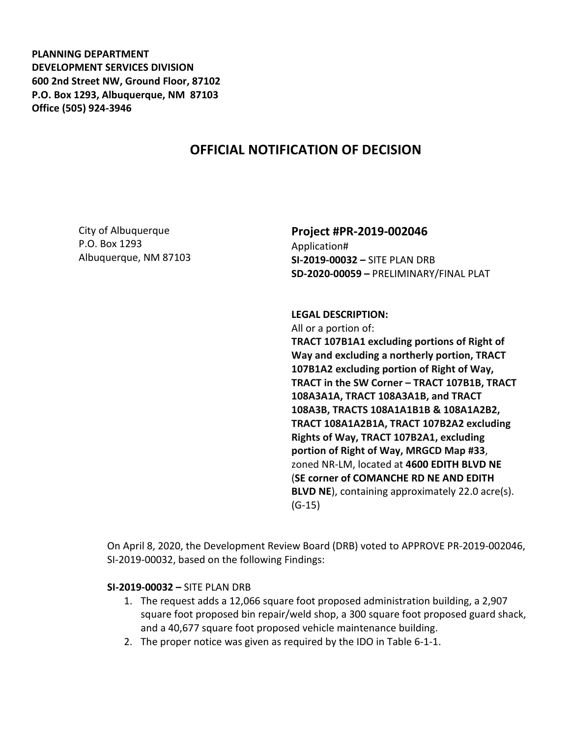**PLANNING DEPARTMENT DEVELOPMENT SERVICES DIVISION 600 2nd Street NW, Ground Floor, 87102 P.O. Box 1293, Albuquerque, NM 87103 Office (505) 924-3946** 

## **OFFICIAL NOTIFICATION OF DECISION**

City of Albuquerque P.O. Box 1293 Albuquerque, NM 87103

## **Project #PR-2019-002046**

Application# **SI-2019-00032 –** SITE PLAN DRB **SD-2020-00059 –** PRELIMINARY/FINAL PLAT

**LEGAL DESCRIPTION:**  All or a portion of: **TRACT 107B1A1 excluding portions of Right of Way and excluding a northerly portion, TRACT 107B1A2 excluding portion of Right of Way, TRACT in the SW Corner – TRACT 107B1B, TRACT 108A3A1A, TRACT 108A3A1B, and TRACT 108A3B, TRACTS 108A1A1B1B & 108A1A2B2, TRACT 108A1A2B1A, TRACT 107B2A2 excluding Rights of Way, TRACT 107B2A1, excluding portion of Right of Way, MRGCD Map #33**, zoned NR-LM, located at **4600 EDITH BLVD NE** (**SE corner of COMANCHE RD NE AND EDITH BLVD NE**), containing approximately 22.0 acre(s). (G-15)

On April 8, 2020, the Development Review Board (DRB) voted to APPROVE PR-2019-002046, SI-2019-00032, based on the following Findings:

## **SI-2019-00032 –** SITE PLAN DRB

- 1. The request adds a 12,066 square foot proposed administration building, a 2,907 square foot proposed bin repair/weld shop, a 300 square foot proposed guard shack, and a 40,677 square foot proposed vehicle maintenance building.
- 2. The proper notice was given as required by the IDO in Table 6-1-1.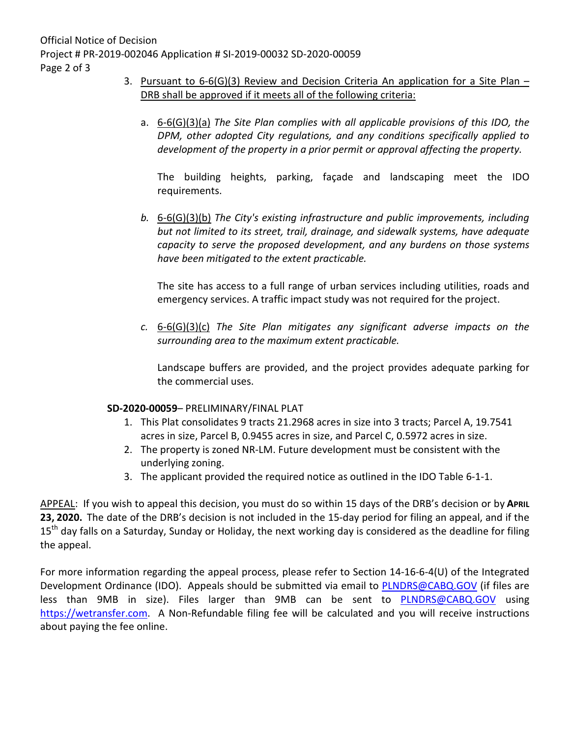- 3. Pursuant to  $6-6(G)(3)$  Review and Decision Criteria An application for a Site Plan DRB shall be approved if it meets all of the following criteria:
	- a. 6-6(G)(3)(a) *The Site Plan complies with all applicable provisions of this IDO, the DPM, other adopted City regulations, and any conditions specifically applied to development of the property in a prior permit or approval affecting the property.*

The building heights, parking, façade and landscaping meet the IDO requirements.

*b.* 6-6(G)(3)(b) *The City's existing infrastructure and public improvements, including but not limited to its street, trail, drainage, and sidewalk systems, have adequate capacity to serve the proposed development, and any burdens on those systems have been mitigated to the extent practicable.* 

The site has access to a full range of urban services including utilities, roads and emergency services. A traffic impact study was not required for the project.

*c.* 6-6(G)(3)(c) *The Site Plan mitigates any significant adverse impacts on the surrounding area to the maximum extent practicable.* 

Landscape buffers are provided, and the project provides adequate parking for the commercial uses.

## **SD-2020-00059**– PRELIMINARY/FINAL PLAT

- 1. This Plat consolidates 9 tracts 21.2968 acres in size into 3 tracts; Parcel A, 19.7541 acres in size, Parcel B, 0.9455 acres in size, and Parcel C, 0.5972 acres in size.
- 2. The property is zoned NR-LM. Future development must be consistent with the underlying zoning.
- 3. The applicant provided the required notice as outlined in the IDO Table 6-1-1.

APPEAL: If you wish to appeal this decision, you must do so within 15 days of the DRB's decision or by **APRIL 23, 2020.** The date of the DRB's decision is not included in the 15-day period for filing an appeal, and if the 15<sup>th</sup> day falls on a Saturday, Sunday or Holiday, the next working day is considered as the deadline for filing the appeal.

For more information regarding the appeal process, please refer to Section 14-16-6-4(U) of the Integrated Development Ordinance (IDO). Appeals should be submitted via email to PLNDRS@CABQ.GOV (if files are less than 9MB in size). Files larger than 9MB can be sent to PLNDRS@CABQ.GOV using https://wetransfer.com. A Non-Refundable filing fee will be calculated and you will receive instructions about paying the fee online.